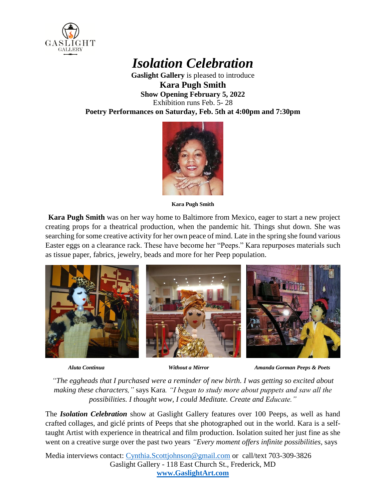

## *Isolation Celebration*

**Gaslight Gallery** is pleased to introduce **Kara Pugh Smith Show Opening February 5, 2022** Exhibition runs Feb. 5- 28 **Poetry Performances on Saturday, Feb. 5th at 4:00pm and 7:30pm**



**Kara Pugh Smith**

 **Kara Pugh Smith** was on her way home to Baltimore from Mexico, eager to start a new project creating props for a theatrical production, when the pandemic hit. Things shut down. She was searching for some creative activity for her own peace of mind. Late in the spring she found various Easter eggs on a clearance rack. These have become her "Peeps." Kara repurposes materials such as tissue paper, fabrics, jewelry, beads and more for her Peep population.



 *Aluta Continua Without a Mirror Amanda Gorman Peeps & Poets* 

*"The eggheads that I purchased were a reminder of new birth. I was getting so excited about making these characters,"* says Kara*. "I began to study more about puppets and saw all the possibilities. I thought wow, I could Meditate. Create and Educate."*

The *Isolation Celebration* show at Gaslight Gallery features over 100 Peeps, as well as hand crafted collages, and giclé prints of Peeps that she photographed out in the world. Kara is a selftaught Artist with experience in theatrical and film production. Isolation suited her just fine as she went on a creative surge over the past two years *"Every moment offers infinite possibilities,* says

Media interviews contact: [Cynthia.Scottjohnson@gmail.com](mailto:Cynthia.Scottjohnson@gmail.com) or call/text 703-309-3826 Gaslight Gallery - 118 East Church St., Frederick, MD **[www.GaslightArt.com](http://www.gaslightart.com/)**